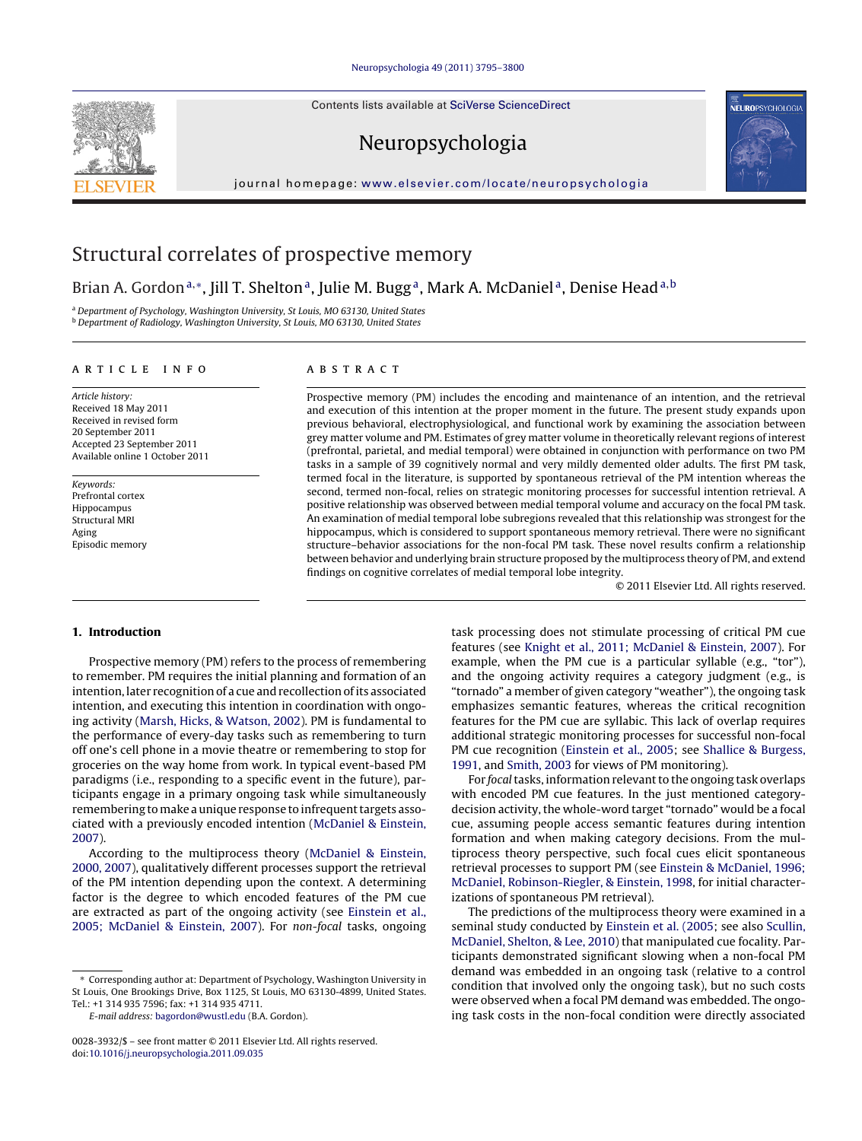Contents lists available at SciVerse [ScienceDirect](http://www.sciencedirect.com/science/journal/00283932)



## Neuropsychologia



iournal homepage: [www.elsevier.com/locate/neuropsychologia](http://www.elsevier.com/locate/neuropsychologia)

### Structural correlates of prospective memory

### Brian A. Gordon<sup>a,</sup>\*, Jill T. Shelton<sup>a</sup>, Julie M. Bugg<sup>a</sup>, Mark A. McDaniel<sup>a</sup>, Denise Head<sup>a,b</sup>

<sup>a</sup> Department of Psychology, Washington University, St Louis, MO 63130, United States <sup>b</sup> Department of Radiology, Washington University, St Louis, MO 63130, United States

#### a r t i c l e i n f o

Article history: Received 18 May 2011 Received in revised form 20 September 2011 Accepted 23 September 2011 Available online 1 October 2011

Keywords: Prefrontal cortex Hippocampus Structural MRI Aging Episodic memory

#### A B S T R A C T

Prospective memory (PM) includes the encoding and maintenance of an intention, and the retrieval and execution of this intention at the proper moment in the future. The present study expands upon previous behavioral, electrophysiological, and functional work by examining the association between grey matter volume and PM. Estimates of grey matter volume in theoretically relevant regions of interest (prefrontal, parietal, and medial temporal) were obtained in conjunction with performance on two PM tasks in a sample of 39 cognitively normal and very mildly demented older adults. The first PM task, termed focal in the literature, is supported by spontaneous retrieval of the PM intention whereas the second, termed non-focal, relies on strategic monitoring processes for successful intention retrieval. A positive relationship was observed between medial temporal volume and accuracy on the focal PM task. An examination of medial temporal lobe subregions revealed that this relationship was strongest for the hippocampus, which is considered to support spontaneous memory retrieval. There were no significant structure–behavior associations for the non-focal PM task. These novel results confirm a relationship between behavior and underlying brain structure proposed by the multiprocess theory of PM, and extend findings on cognitive correlates of medial temporal lobe integrity.

© 2011 Elsevier Ltd. All rights reserved.

#### **1. Introduction**

Prospective memory (PM) refers to the process of remembering to remember. PM requires the initial planning and formation of an intention, later recognition of a cue and recollection of its associated intention, and executing this intention in coordination with ongoing activity ([Marsh,](#page--1-0) [Hicks,](#page--1-0) [&](#page--1-0) [Watson,](#page--1-0) [2002\).](#page--1-0) PM is fundamental to the performance of every-day tasks such as remembering to turn off one's cell phone in a movie theatre or remembering to stop for groceries on the way home from work. In typical event-based PM paradigms (i.e., responding to a specific event in the future), participants engage in a primary ongoing task while simultaneously remembering to make a unique response to infrequent targets associated with a previously encoded intention [\(McDaniel](#page--1-0) [&](#page--1-0) [Einstein,](#page--1-0) [2007\).](#page--1-0)

According to the multiprocess theory [\(McDaniel](#page--1-0) [&](#page--1-0) [Einstein,](#page--1-0) [2000,](#page--1-0) [2007\),](#page--1-0) qualitatively different processes support the retrieval of the PM intention depending upon the context. A determining factor is the degree to which encoded features of the PM cue are extracted as part of the ongoing activity (see [Einstein](#page--1-0) et [al.,](#page--1-0) [2005;](#page--1-0) [McDaniel](#page--1-0) [&](#page--1-0) [Einstein,](#page--1-0) [2007\).](#page--1-0) For non-focal tasks, ongoing

∗ Corresponding author at: Department of Psychology, Washington University in St Louis, One Brookings Drive, Box 1125, St Louis, MO 63130-4899, United States. Tel.: +1 314 935 7596; fax: +1 314 935 4711.

E-mail address: [bagordon@wustl.edu](mailto:bagordon@wustl.edu) (B.A. Gordon).

task processing does not stimulate processing of critical PM cue features (see [Knight](#page--1-0) et [al.,](#page--1-0) [2011;](#page--1-0) [McDaniel](#page--1-0) [&](#page--1-0) [Einstein,](#page--1-0) [2007\).](#page--1-0) For example, when the PM cue is a particular syllable (e.g., "tor"), and the ongoing activity requires a category judgment (e.g., is "tornado" a member of given category "weather"), the ongoing task emphasizes semantic features, whereas the critical recognition features for the PM cue are syllabic. This lack of overlap requires additional strategic monitoring processes for successful non-focal PM cue recognition [\(Einstein](#page--1-0) et [al.,](#page--1-0) [2005;](#page--1-0) see [Shallice](#page--1-0) [&](#page--1-0) [Burgess,](#page--1-0) [1991,](#page--1-0) and [Smith,](#page--1-0) [2003](#page--1-0) for views of PM monitoring).

For focal tasks, information relevant to the ongoing task overlaps with encoded PM cue features. In the just mentioned categorydecision activity, the whole-word target "tornado" would be a focal cue, assuming people access semantic features during intention formation and when making category decisions. From the multiprocess theory perspective, such focal cues elicit spontaneous retrieval processes to support PM (see [Einstein](#page--1-0) [&](#page--1-0) [McDaniel,](#page--1-0) [1996;](#page--1-0) [McDaniel,](#page--1-0) [Robinson-Riegler,](#page--1-0) [&](#page--1-0) [Einstein,](#page--1-0) [1998,](#page--1-0) for initial characterizations of spontaneous PM retrieval).

The predictions of the multiprocess theory were examined in a seminal study conducted by [Einstein](#page--1-0) et [al.](#page--1-0) [\(2005;](#page--1-0) see also [Scullin,](#page--1-0) [McDaniel,](#page--1-0) [Shelton,](#page--1-0) [&](#page--1-0) [Lee,](#page--1-0) [2010\)](#page--1-0) that manipulated cue focality. Participants demonstrated significant slowing when a non-focal PM demand was embedded in an ongoing task (relative to a control condition that involved only the ongoing task), but no such costs were observed when a focal PM demand was embedded. The ongoing task costs in the non-focal condition were directly associated

<sup>0028-3932/\$</sup> – see front matter © 2011 Elsevier Ltd. All rights reserved. doi:[10.1016/j.neuropsychologia.2011.09.035](dx.doi.org/10.1016/j.neuropsychologia.2011.09.035)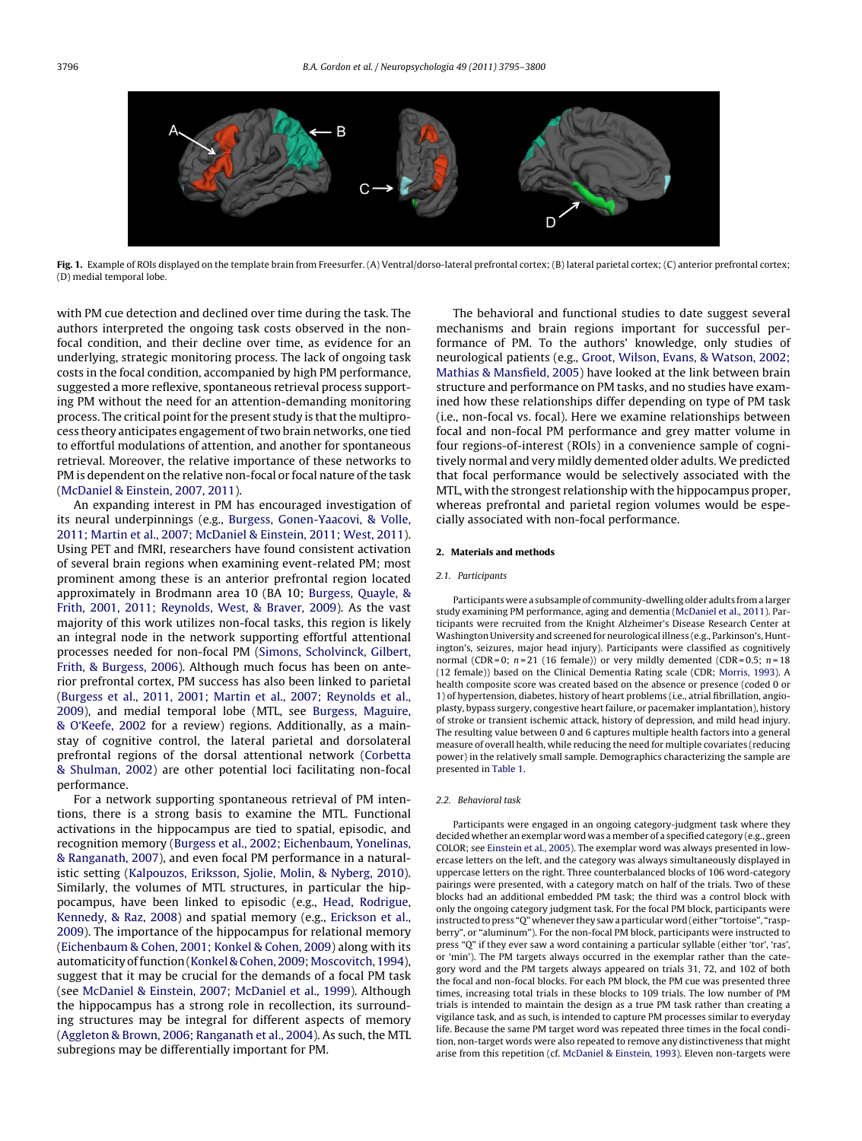

Fig. 1. Example of ROIs displayed on the template brain from Freesurfer. (A) Ventral/dorso-lateral prefrontal cortex; (B) lateral parietal cortex; (C) anterior prefrontal cortex; (D) medial temporal lobe.

with PM cue detection and declined over time during the task. The authors interpreted the ongoing task costs observed in the nonfocal condition, and their decline over time, as evidence for an underlying, strategic monitoring process. The lack of ongoing task costs in the focal condition, accompanied by high PM performance, suggested a more reflexive, spontaneous retrieval process supporting PM without the need for an attention-demanding monitoring process. The critical point for the present study is that the multiprocess theory anticipates engagement of two brain networks, one tied to effortful modulations of attention, and another for spontaneous retrieval. Moreover, the relative importance of these networks to PM is dependent on the relative non-focal or focal nature of the task ([McDaniel](#page--1-0) [&](#page--1-0) [Einstein,](#page--1-0) [2007,](#page--1-0) [2011\).](#page--1-0)

An expanding interest in PM has encouraged investigation of its neural underpinnings (e.g., [Burgess,](#page--1-0) [Gonen-Yaacovi,](#page--1-0) [&](#page--1-0) [Volle,](#page--1-0) [2011;](#page--1-0) [Martin](#page--1-0) et [al.,](#page--1-0) [2007;](#page--1-0) [McDaniel](#page--1-0) [&](#page--1-0) [Einstein,](#page--1-0) [2011;](#page--1-0) [West,](#page--1-0) [2011\).](#page--1-0) Using PET and fMRI, researchers have found consistent activation of several brain regions when examining event-related PM; most prominent among these is an anterior prefrontal region located approximately in Brodmann area 10 (BA 10; [Burgess,](#page--1-0) [Quayle,](#page--1-0) [&](#page--1-0) [Frith,](#page--1-0) [2001,](#page--1-0) [2011;](#page--1-0) [Reynolds,](#page--1-0) [West,](#page--1-0) [&](#page--1-0) [Braver,](#page--1-0) [2009\).](#page--1-0) As the vast majority of this work utilizes non-focal tasks, this region is likely an integral node in the network supporting effortful attentional processes needed for non-focal PM ([Simons,](#page--1-0) [Scholvinck,](#page--1-0) [Gilbert,](#page--1-0) [Frith,](#page--1-0) [&](#page--1-0) [Burgess,](#page--1-0) [2006\).](#page--1-0) Although much focus has been on anterior prefrontal cortex, PM success has also been linked to parietal ([Burgess](#page--1-0) et [al.,](#page--1-0) [2011,](#page--1-0) [2001;](#page--1-0) [Martin](#page--1-0) et [al.,](#page--1-0) [2007;](#page--1-0) [Reynolds](#page--1-0) et [al.,](#page--1-0) [2009\),](#page--1-0) and medial temporal lobe (MTL, see [Burgess,](#page--1-0) [Maguire,](#page--1-0) [&](#page--1-0) [O'Keefe,](#page--1-0) [2002](#page--1-0) for a review) regions. Additionally, as a mainstay of cognitive control, the lateral parietal and dorsolateral prefrontal regions of the dorsal attentional network ([Corbetta](#page--1-0) [&](#page--1-0) [Shulman,](#page--1-0) [2002\)](#page--1-0) are other potential loci facilitating non-focal performance.

For a network supporting spontaneous retrieval of PM intentions, there is a strong basis to examine the MTL. Functional activations in the hippocampus are tied to spatial, episodic, and recognition memory [\(Burgess](#page--1-0) et [al.,](#page--1-0) [2002;](#page--1-0) [Eichenbaum,](#page--1-0) [Yonelinas,](#page--1-0) [&](#page--1-0) [Ranganath,](#page--1-0) [2007\),](#page--1-0) and even focal PM performance in a naturalistic setting [\(Kalpouzos,](#page--1-0) [Eriksson,](#page--1-0) [Sjolie,](#page--1-0) [Molin,](#page--1-0) [&](#page--1-0) [Nyberg,](#page--1-0) [2010\).](#page--1-0) Similarly, the volumes of MTL structures, in particular the hippocampus, have been linked to episodic (e.g., [Head,](#page--1-0) [Rodrigue,](#page--1-0) [Kennedy,](#page--1-0) [&](#page--1-0) [Raz,](#page--1-0) [2008\)](#page--1-0) and spatial memory (e.g., [Erickson](#page--1-0) [et](#page--1-0) [al.,](#page--1-0) [2009\).](#page--1-0) The importance of the hippocampus for relational memory ([Eichenbaum](#page--1-0) [&](#page--1-0) [Cohen,](#page--1-0) [2001;](#page--1-0) [Konkel](#page--1-0) [&](#page--1-0) [Cohen,](#page--1-0) [2009\)](#page--1-0) along with its automaticity of function ([Konkel](#page--1-0) [&](#page--1-0) [Cohen,](#page--1-0) 2009; Moscovitch, [1994\),](#page--1-0) suggest that it may be crucial for the demands of a focal PM task (see [McDaniel](#page--1-0) [&](#page--1-0) [Einstein,](#page--1-0) [2007;](#page--1-0) [McDaniel](#page--1-0) et [al.,](#page--1-0) [1999\).](#page--1-0) Although the hippocampus has a strong role in recollection, its surrounding structures may be integral for different aspects of memory ([Aggleton](#page--1-0) [&](#page--1-0) [Brown,](#page--1-0) [2006;](#page--1-0) [Ranganath](#page--1-0) et [al.,](#page--1-0) [2004\).](#page--1-0) As such, the MTL subregions may be differentially important for PM.

The behavioral and functional studies to date suggest several mechanisms and brain regions important for successful performance of PM. To the authors' knowledge, only studies of neurological patients (e.g., [Groot,](#page--1-0) [Wilson,](#page--1-0) [Evans,](#page--1-0) [&](#page--1-0) [Watson,](#page--1-0) [2002;](#page--1-0) [Mathias](#page--1-0) [&](#page--1-0) [Mansfield,](#page--1-0) [2005\)](#page--1-0) have looked at the link between brain structure and performance on PM tasks, and no studies have examined how these relationships differ depending on type of PM task (i.e., non-focal vs. focal). Here we examine relationships between focal and non-focal PM performance and grey matter volume in four regions-of-interest (ROIs) in a convenience sample of cognitively normal and very mildly demented older adults. We predicted that focal performance would be selectively associated with the MTL, with the strongest relationship with the hippocampus proper, whereas prefrontal and parietal region volumes would be especially associated with non-focal performance.

#### **2. Materials and methods**

#### 2.1. Participants

Participants were a subsample of community-dwelling older adults froma larger study examining PM performance, aging and dementia [\(McDaniel](#page--1-0) et [al.,](#page--1-0) [2011\).](#page--1-0) Participants were recruited from the Knight Alzheimer's Disease Research Center at Washington University and screened for neurological illness (e.g., Parkinson's, Huntington's, seizures, major head injury). Participants were classified as cognitively normal (CDR = 0;  $n = 21$  (16 female)) or very mildly demented (CDR = 0.5;  $n = 18$ (12 female)) based on the Clinical Dementia Rating scale (CDR; [Morris,](#page--1-0) [1993\).](#page--1-0) A health composite score was created based on the absence or presence (coded 0 or 1) of hypertension, diabetes, history of heart problems (i.e., atrial fibrillation, angioplasty, bypass surgery, congestive heart failure, or pacemaker implantation), history of stroke or transient ischemic attack, history of depression, and mild head injury. The resulting value between 0 and 6 captures multiple health factors into a general measure of overall health, while reducing the need for multiple covariates (reducing power) in the relatively small sample. Demographics characterizing the sample are presented in [Table](#page--1-0) 1.

#### 2.2. Behavioral task

Participants were engaged in an ongoing category-judgment task where they decided whether an exemplar word was a member of a specified category (e.g., green COLOR; see [Einstein](#page--1-0) et [al.,](#page--1-0) [2005\).](#page--1-0) The exemplar word was always presented in lowercase letters on the left, and the category was always simultaneously displayed in uppercase letters on the right. Three counterbalanced blocks of 106 word-category pairings were presented, with a category match on half of the trials. Two of these blocks had an additional embedded PM task; the third was a control block with only the ongoing category judgment task. For the focal PM block, participants were instructed to press "O" whenever they saw a particular word (either "tortoise", "raspberry", or "aluminum"). For the non-focal PM block, participants were instructed to press "Q" if they ever saw a word containing a particular syllable (either 'tor', 'ras', or 'min'). The PM targets always occurred in the exemplar rather than the category word and the PM targets always appeared on trials 31, 72, and 102 of both the focal and non-focal blocks. For each PM block, the PM cue was presented three times, increasing total trials in these blocks to 109 trials. The low number of PM trials is intended to maintain the design as a true PM task rather than creating a vigilance task, and as such, is intended to capture PM processes similar to everyday life. Because the same PM target word was repeated three times in the focal condition, non-target words were also repeated to remove any distinctiveness that might arise from this repetition (cf. [McDaniel](#page--1-0) [&](#page--1-0) [Einstein,](#page--1-0) [1993\).](#page--1-0) Eleven non-targets were